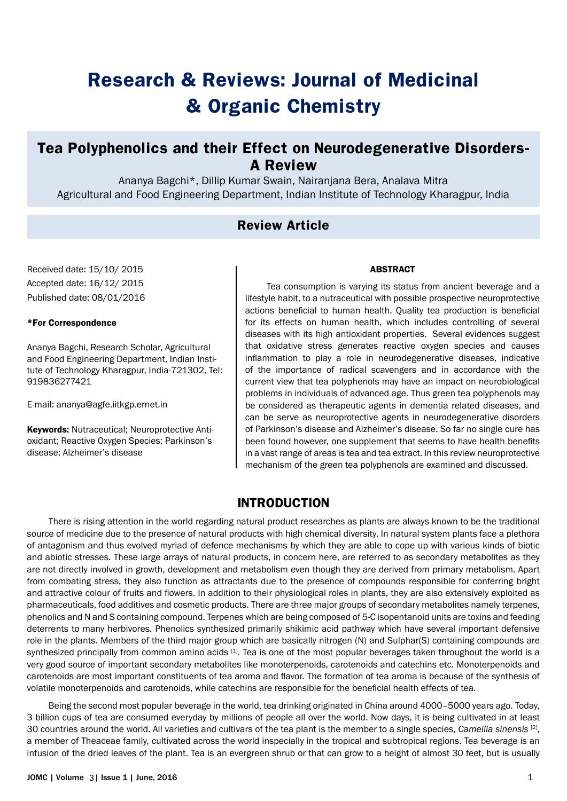# **Research & Reviews: Journal of Medicinal & Organic Chemistry**

# **Tea Polyphenolics and their Effect on Neurodegenerative Disorders-A Review**

Ananya Bagchi\*, Dillip Kumar Swain, Nairanjana Bera, Analava Mitra Agricultural and Food Engineering Department, Indian Institute of Technology Kharagpur, India

# **Review Article**

Received date: 15/10/ 2015 Accepted date: 16/12/ 2015 Published date: 08/01/2016

#### \*For Correspondence

Ananya Bagchi, Research Scholar, Agricultural and Food Engineering Department, Indian Institute of Technology Kharagpur, India-721302, Tel: 919836277421

E-mail: ananya@agfe.iitkgp.ernet.in

Keywords: Nutraceutical; Neuroprotective Antioxidant; Reactive Oxygen Species; Parkinson's disease; Alzheimer's disease

#### ABSTRACT

Tea consumption is varying its status from ancient beverage and a lifestyle habit, to a nutraceutical with possible prospective neuroprotective actions beneficial to human health. Quality tea production is beneficial for its effects on human health, which includes controlling of several diseases with its high antioxidant properties. Several evidences suggest that oxidative stress generates reactive oxygen species and causes inflammation to play a role in neurodegenerative diseases, indicative of the importance of radical scavengers and in accordance with the current view that tea polyphenols may have an impact on neurobiological problems in individuals of advanced age. Thus green tea polyphenols may be considered as therapeutic agents in dementia related diseases, and can be serve as neuroprotective agents in neurodegenerative disorders of Parkinson's disease and Alzheimer's disease. So far no single cure has been found however, one supplement that seems to have health benefits in a vast range of areas is tea and tea extract. In this review neuroprotective mechanism of the green tea polyphenols are examined and discussed.

## **INTRODUCTION**

There is rising attention in the world regarding natural product researches as plants are always known to be the traditional source of medicine due to the presence of natural products with high chemical diversity. In natural system plants face a plethora of antagonism and thus evolved myriad of defence mechanisms by which they are able to cope up with various kinds of biotic and abiotic stresses. These large arrays of natural products, in concern here, are referred to as secondary metabolites as they are not directly involved in growth, development and metabolism even though they are derived from primary metabolism. Apart from combating stress, they also function as attractants due to the presence of compounds responsible for conferring bright and attractive colour of fruits and flowers. In addition to their physiological roles in plants, they are also extensively exploited as pharmaceuticals, food additives and cosmetic products. There are three major groups of secondary metabolites namely terpenes, phenolics and N and S containing compound. Terpenes which are being composed of 5-C isopentanoid units are toxins and feeding deterrents to many herbivores. Phenolics synthesized primarily shikimic acid pathway which have several important defensive role in the plants. Members of the third major group which are basically nitrogen (N) and Sulphar(S) containing compounds are synthesized principally from common amino acids  $[1]$ . Tea is one of the most popular beverages taken throughout the world is a very good source of important secondary metabolites like monoterpenoids, carotenoids and catechins etc. Monoterpenoids and carotenoids are most important constituents of tea aroma and flavor. The formation of tea aroma is because of the synthesis of volatile monoterpenoids and carotenoids, while catechins are responsible for the beneficial health effects of tea.

Being the second most popular beverage in the world, tea drinking originated in China around 4000–5000 years ago. Today, 3 billion cups of tea are consumed everyday by millions of people all over the world. Now days, it is being cultivated in at least 30 countries around the world. All varieties and cultivars of the tea plant is the member to a single species, *Camellia sinensis* [2], a member of Theaceae family, cultivated across the world inspecially in the tropical and subtropical regions. Tea beverage is an infusion of the dried leaves of the plant. Tea is an evergreen shrub or that can grow to a height of almost 30 feet, but is usually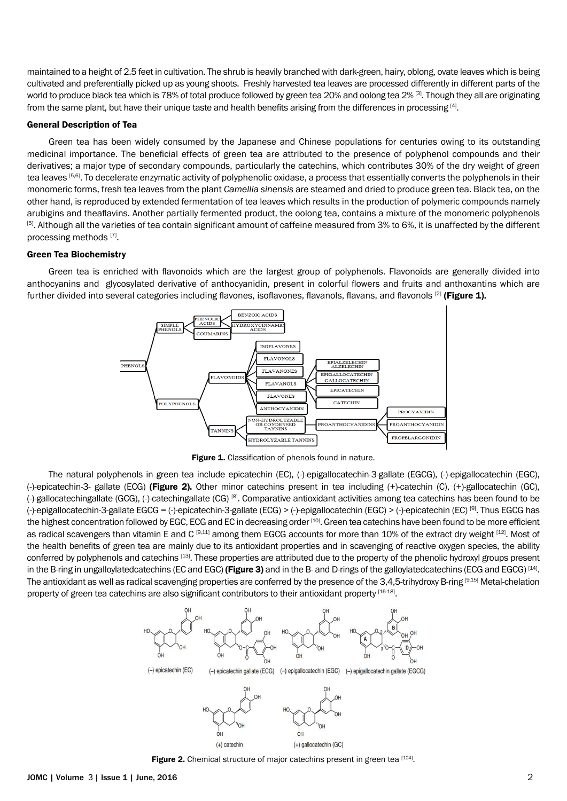maintained to a height of 2.5 feet in cultivation. The shrub is heavily branched with dark-green, hairy, oblong, ovate leaves which is being cultivated and preferentially picked up as young shoots. Freshly harvested tea leaves are processed differently in different parts of the world to produce black tea which is 78% of total produce followed by green tea 20% and oolong tea 2% [3]. Though they all are originating from the same plant, but have their unique taste and health benefits arising from the differences in processing [4].

#### General Description of Tea

Green tea has been widely consumed by the Japanese and Chinese populations for centuries owing to its outstanding medicinal importance. The beneficial effects of green tea are attributed to the presence of polyphenol compounds and their derivatives; a major type of secondary compounds, particularly the catechins, which contributes 30% of the dry weight of green tea leaves [5,6]. To decelerate enzymatic activity of polyphenolic oxidase, a process that essentially converts the polyphenols in their monomeric forms, fresh tea leaves from the plant *Camellia sinensis* are steamed and dried to produce green tea. Black tea, on the other hand, is reproduced by extended fermentation of tea leaves which results in the production of polymeric compounds namely arubigins and theaflavins. Another partially fermented product, the oolong tea, contains a mixture of the monomeric polyphenols [5]. Although all the varieties of tea contain significant amount of caffeine measured from 3% to 6%, it is unaffected by the different processing methods [7].

#### Green Tea Biochemistry

Green tea is enriched with flavonoids which are the largest group of polyphenols. Flavonoids are generally divided into anthocyanins and glycosylated derivative of anthocyanidin, present in colorful flowers and fruits and anthoxantins which are further divided into several categories including flavones, isoflavones, flavanols, flavans, and flavonols <sup>[2]</sup> (Figure 1).



Figure 1. Classification of phenols found in nature.

The natural polyphenols in green tea include epicatechin (EC), (-)-epigallocatechin-3-gallate (EGCG), (-)-epigallocatechin (EGC), (-)-epicatechin-3- gallate (ECG) (Figure 2). Other minor catechins present in tea including (+)-catechin (C), (+)-gallocatechin (GC),  $(-)$ -gallocatechingallate (GCG),  $(-)$ -catechingallate (CG) [8]. Comparative antioxidant activities among tea catechins has been found to be (-)-epigallocatechin-3-gallate EGCG = (-)-epicatechin-3-gallate (ECG) > (-)-epigallocatechin (EGC) > (-)-epicatechin (EC) [9]. Thus EGCG has the highest concentration followed by EGC, ECG and EC in decreasing order [10]. Green tea catechins have been found to be more efficient as radical scavengers than vitamin E and C [9,11] among them EGCG accounts for more than 10% of the extract dry weight [12]. Most of the health benefits of green tea are mainly due to its antioxidant properties and in scavenging of reactive oxygen species, the ability conferred by polyphenols and catechins [13]. These properties are attributed due to the property of the phenolic hydroxyl groups present in the B-ring in ungalloylatedcatechins (EC and EGC) (Figure 3) and in the B- and D-rings of the galloylatedcatechins (ECG and EGCG) [14]. The antioxidant as well as radical scavenging properties are conferred by the presence of the 3,4,5-trihydroxy B-ring [9,15] Metal-chelation property of green tea catechins are also significant contributors to their antioxidant property [16-18]



Figure 2. Chemical structure of major catechins present in green tea [124].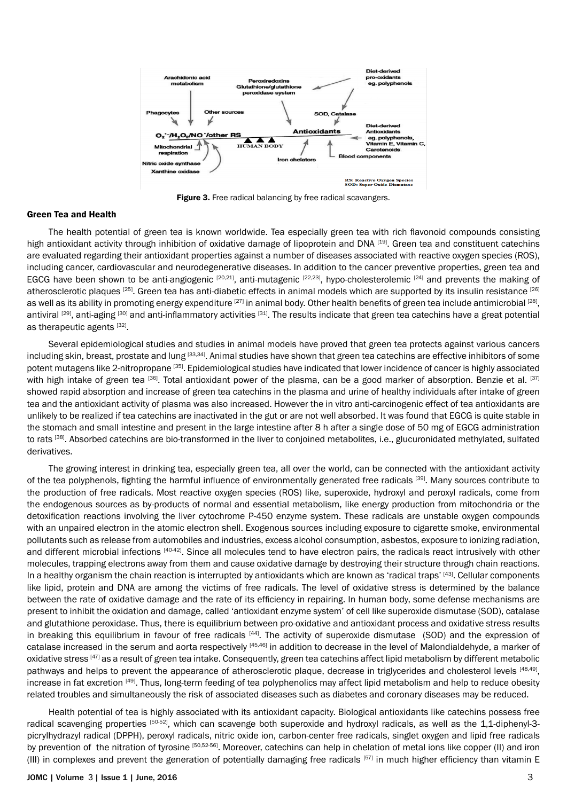

Figure 3. Free radical balancing by free radical scavangers.

#### Green Tea and Health

The health potential of green tea is known worldwide. Tea especially green tea with rich flavonoid compounds consisting high antioxidant activity through inhibition of oxidative damage of lipoprotein and DNA [19]. Green tea and constituent catechins are evaluated regarding their antioxidant properties against a number of diseases associated with reactive oxygen species (ROS), including cancer, cardiovascular and neurodegenerative diseases. In addition to the cancer preventive properties, green tea and EGCG have been shown to be anti-angiogenic  $[20,21]$ , anti-mutagenic  $[22,23]$ , hypo-cholesterolemic  $[24]$  and prevents the making of atherosclerotic plaques <sup>[25]</sup>. Green tea has anti-diabetic effects in animal models which are supported by its insulin resistance <sup>[26]</sup> as well as its ability in promoting energy expenditure [27] in animal body. Other health benefits of green tea include antimicrobial [28], antiviral [29], anti-aging [30] and anti-inflammatory activities [31]. The results indicate that green tea catechins have a great potential as therapeutic agents [32].

Several epidemiological studies and studies in animal models have proved that green tea protects against various cancers including skin, breast, prostate and lung [33,34]. Animal studies have shown that green tea catechins are effective inhibitors of some potent mutagens like 2-nitropropane [35]. Epidemiological studies have indicated that lower incidence of cancer is highly associated with high intake of green tea [36]. Total antioxidant power of the plasma, can be a good marker of absorption. Benzie et al. [37] showed rapid absorption and increase of green tea catechins in the plasma and urine of healthy individuals after intake of green tea and the antioxidant activity of plasma was also increased. However the in vitro anti-carcinogenic effect of tea antioxidants are unlikely to be realized if tea catechins are inactivated in the gut or are not well absorbed. It was found that EGCG is quite stable in the stomach and small intestine and present in the large intestine after 8 h after a single dose of 50 mg of EGCG administration to rats <sup>[38]</sup>. Absorbed catechins are bio-transformed in the liver to conjoined metabolites, i.e., glucuronidated methylated, sulfated derivatives.

The growing interest in drinking tea, especially green tea, all over the world, can be connected with the antioxidant activity of the tea polyphenols, fighting the harmful influence of environmentally generated free radicals [39]. Many sources contribute to the production of free radicals. Most reactive oxygen species (ROS) like, superoxide, hydroxyl and peroxyl radicals, come from the endogenous sources as by-products of normal and essential metabolism, like energy production from mitochondria or the detoxification reactions involving the liver cytochrome P-450 enzyme system. These radicals are unstable oxygen compounds with an unpaired electron in the atomic electron shell. Exogenous sources including exposure to cigarette smoke, environmental pollutants such as release from automobiles and industries, excess alcohol consumption, asbestos, exposure to ionizing radiation, and different microbial infections [40-42]. Since all molecules tend to have electron pairs, the radicals react intrusively with other molecules, trapping electrons away from them and cause oxidative damage by destroying their structure through chain reactions. In a healthy organism the chain reaction is interrupted by antioxidants which are known as 'radical traps' [43]. Cellular components like lipid, protein and DNA are among the victims of free radicals. The level of oxidative stress is determined by the balance between the rate of oxidative damage and the rate of its efficiency in repairing. In human body, some defense mechanisms are present to inhibit the oxidation and damage, called 'antioxidant enzyme system' of cell like [superoxide dismutase](http://en.wikipedia.org/wiki/Superoxide_dismutase) (SOD), [catalase](http://en.wikipedia.org/wiki/Catalase) and [glutathione peroxidase](http://en.wikipedia.org/wiki/Glutathione_peroxidase). Thus, there is equilibrium between pro-oxidative and antioxidant process and oxidative stress results in breaking this equilibrium in favour of free radicals  $[44]$ . The activity of [superoxide dismutase](http://en.wikipedia.org/wiki/Superoxide_dismutase) (SOD) and the expression of catalase increased in the serum and aorta respectively [45,46] in addition to decrease in the level of Malondialdehyde, a marker of oxidative stress [47] as a result of green tea intake. Consequently, green tea catechins affect lipid metabolism by different metabolic pathways and helps to prevent the appearance of atherosclerotic plaque, decrease in triglycerides and cholesterol levels [48,49], increase in fat excretion [49]. Thus, long-term feeding of tea polyphenolics may affect lipid metabolism and help to reduce obesity related troubles and simultaneously the risk of associated diseases such as diabetes and coronary diseases may be reduced.

Health potential of tea is highly associated with its antioxidant capacity. Biological antioxidants like catechins possess free radical scavenging properties [50-52], which can scavenge both superoxide and hydroxyl radicals, as well as the 1,1-diphenyl-3picrylhydrazyl radical (DPPH), peroxyl radicals, nitric oxide ion, carbon-center free radicals, singlet oxygen and lipid free radicals by prevention of the nitration of tyrosine [50,52-56]. Moreover, catechins can help in chelation of metal ions like copper (II) and iron (III) in complexes and prevent the generation of potentially damaging free radicals [57] in much higher efficiency than vitamin E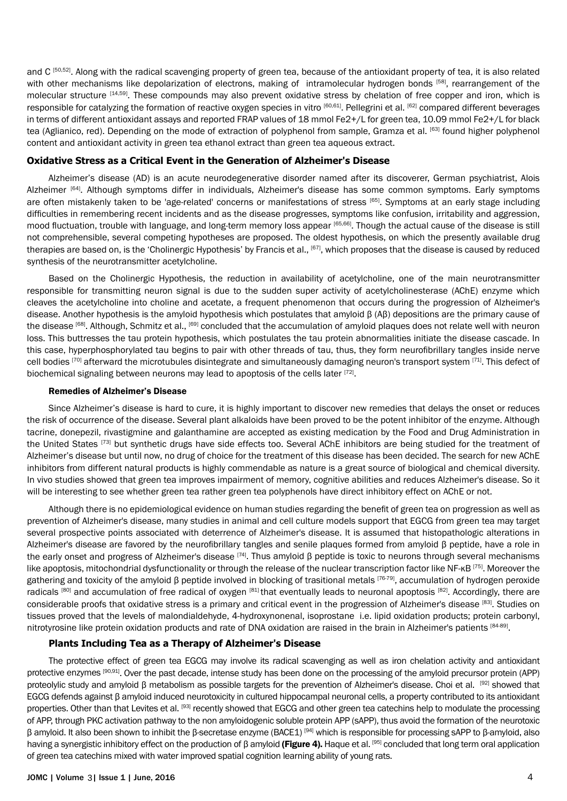and C<sup>[50,52]</sup>. Along with the radical scavenging property of green tea, because of the antioxidant property of tea, it is also related with other mechanisms like depolarization of electrons, making of intramolecular hydrogen bonds [58], rearrangement of the molecular structure [14,59]. These compounds may also prevent oxidative stress by chelation of free copper and iron, which is responsible for catalyzing the formation of reactive oxygen species in vitro [60,61]. Pellegrini et al. [62] compared different beverages in terms of different antioxidant assays and reported FRAP values of 18 mmol Fe2+/L for green tea, 10.09 mmol Fe2+/L for black tea (Aglianico, red). Depending on the mode of extraction of polyphenol from sample, Gramza et al. [63] found higher polyphenol content and antioxidant activity in green tea ethanol extract than green tea aqueous extract.

#### **Oxidative Stress as a Critical Event in the Generation of Alzheimer's Disease**

Alzheimer's disease (AD) is an acute neurodegenerative disorder named after its discoverer, German psychiatrist, [Alois](http://en.wikipedia.org/wiki/Alois_Alzheimer)  [Alzheimer](http://en.wikipedia.org/wiki/Alois_Alzheimer) [64]. Although symptoms differ in individuals, Alzheimer's disease has some common symptoms. Early symptoms are often mistakenly taken to be 'age-related' concerns or manifestations of [stress](http://en.wikipedia.org/wiki/Stress_(biological)) [65]. Symptoms at an early stage including difficulties in remembering recent incidents and as the disease progresses, symptoms like [confusion,](http://en.wikipedia.org/wiki/Mental_confusion) irritability and aggression, mood fluctuation, trouble with language, and [long-term memory](http://en.wikipedia.org/wiki/Long-term_memory) loss appear [65,66] . Though the actual cause of the disease is still not comprehensible, several competing hypotheses are proposed. The oldest hypothesis, on which the presently available drug therapies are based on, is the 'Cholinergic Hypothesis' by Francis et al., [67], which proposes that the disease is caused by reduced synthesis of the neurotransmitter acetylcholine.

Based on the Cholinergic Hypothesis, the reduction in availability of acetylcholine, one of the main neurotransmitter responsible for transmitting neuron signal is due to the sudden super activity of acetylcholinesterase (AChE) enzyme which cleaves the acetylcholine into choline and acetate, a frequent phenomenon that occurs during the progression of [Alzheimer's](http://en.wikipedia.org/wiki/Alzheimer%27s_disease)  [disease.](http://en.wikipedia.org/wiki/Alzheimer%27s_disease) Another hypothesis is the amyloid hypothesis which postulates that amyloid β (Aβ) depositions are the primary cause of the disease [68]. Although, Schmitz et al., [69] concluded that the accumulation of amyloid plaques does not relate well with neuron loss. This buttresses the tau protein hypothesis, which postulates the [tau protein](http://en.wikipedia.org/wiki/Tau_protein) abnormalities initiate the disease cascade. In this case, hyperphosphorylated tau begins to pair with other threads of tau, thus, they form [neurofibrillary tangles](http://en.wikipedia.org/wiki/Neurofibrillary_tangles) inside nerve cell bodies <sup>[70]</sup> afterward the [microtubules](http://en.wikipedia.org/wiki/Microtubules) disintegrate and simultaneously damaging neuron's transport system <sup>[71]</sup>. This defect of biochemical signaling between neurons may lead to apoptosis of the cells later  $[72]$ .

#### Remedies of Alzheimer's Disease

Since Alzheimer's disease [is](http://en.wikipedia.org/wiki/Alzheimer%27s_disease) hard to cure, it is highly important to discover new remedies that delays the onset or reduces the risk of occurrence of the disease. Several plant alkaloids have been proved to be the potent inhibitor of the enzyme. Although tacrine, donepezil, rivastigmine and galanthamine are accepted as existing medication by the Food and Drug Administration in the United States [73] but synthetic drugs have side effects too. Several AChE inhibitors are being studied for the treatment of Alzheimer's disease but until now, no drug of choice for the treatment of this disease has been decided. The search for new AChE inhibitors from different natural products is highly commendable as nature is a great source of biological and chemical diversity. In vivo studies showed that green tea improves impairment of memory, cognitive abilities and reduces Alzheimer's disease. So it will be interesting to see whether green tea rather green tea polyphenols have direct inhibitory effect on AChE or not.

Although there is no epidemiological evidence on human studies regarding the benefit of green tea on progression as well as prevention of Alzheimer's disease, many studies in animal and cell culture models support that EGCG from green tea may target several prospective points associated with deterrence of Alzheimer's disease. It is assumed that histopathologic alterations in Alzheimer's disease are favored by the neurofibrillary tangles and senile plaques formed from amyloid β peptide, have a role in the early onset and progress of Alzheimer's disease <sup>[74]</sup>. Thus amyloid β peptide is toxic to neurons through several mechanisms like apoptosis, mitochondrial dysfunctionality or through the release of the nuclear transcription factor like NF- $KB$  [75]. Moreover the gathering and toxicity of the amyloid β peptide involved in blocking of trasitional metals [76-79], accumulation of hydrogen peroxide radicals [80] and accumulation of free radical of oxygen [81] that eventually leads to neuronal apoptosis [82]. Accordingly, there are considerable proofs that oxidative stress is a primary and critical event in the progression of Alzheimer's disease [83]. Studies on tissues proved that the levels of malondialdehyde, 4-hydroxynonenal, isoprostane i.e. lipid oxidation products; protein carbonyl, nitrotyrosine like protein oxidation products and rate of DNA oxidation are raised in the brain in Alzheimer's patients [84-89].

#### **Plants Including Tea as a Therapy of Alzheimer's Disease**

The protective effect of green tea EGCG may involve its radical scavenging as well as iron chelation activity and antioxidant protective enzymes [90,91]. Over the past decade, intense study has been done on the processing of the amyloid precursor protein (APP) proteolylic study and amyloid β metabolism as possible targets for the prevention of Alzheimer's disease. Choi et al. [92] showed that EGCG defends against β amyloid induced neurotoxicity in cultured hippocampal neuronal cells, a property contributed to its antioxidant properties. Other than that Levites et al. [93] recently showed that EGCG and other green tea catechins help to modulate the processing of APP, through PKC activation pathway to the non amyloidogenic soluble protein APP (sAPP), thus avoid the formation of the neurotoxic β amyloid. It also been shown to inhibit the β-secretase enzyme (BACE1) [94] which is responsible for processing sAPP to β-amyloid, also having a synergistic inhibitory effect on the production of β amyloid (Figure 4). Haque et al. [95] concluded that long term oral application of green tea catechins mixed with water improved spatial cognition learning ability of young rats.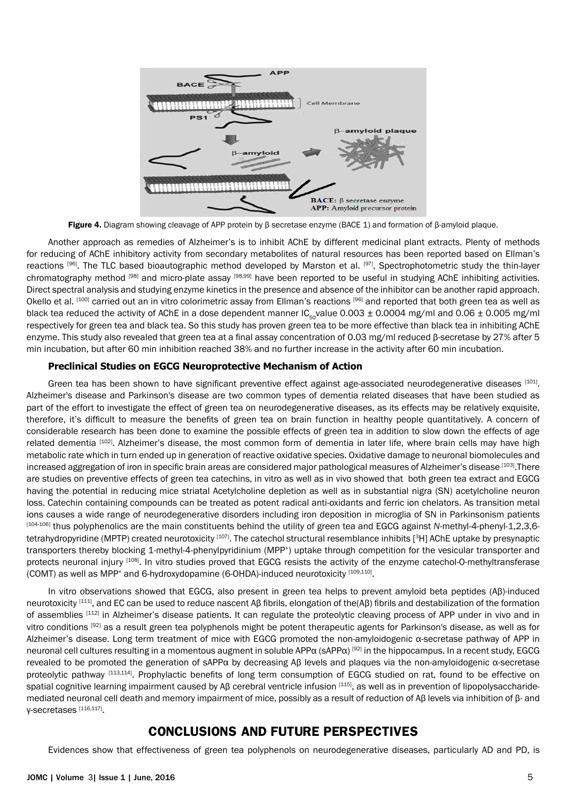

Figure 4. Diagram showing cleavage of APP protein by β secretase enzyme (BACE 1) and formation of β-amyloid plaque.

Another approach as remedies of Alzheimer's is to inhibit AChE by different medicinal plant extracts. Plenty of methods for reducing of AChE inhibitory activity from secondary metabolites of natural resources has been reported based on Ellman's reactions [96]. The TLC based bioautographic method developed by Marston et al. [97], Spectrophotometric study the thin-layer chromatography method [98] and micro-plate assay [98,99] have been reported to be useful in studying AChE inhibiting activities. Direct spectral analysis and studying enzyme kinetics in the presence and absence of the inhibitor can be another rapid approach. Okello et al. [100] carried out an in vitro colorimetric assay from Ellman's reactions [96] and reported that both green tea as well as black tea reduced the activity of AChE in a dose dependent manner  $IC_{50}$ value 0.003  $\pm$  0.0004 mg/ml and 0.06  $\pm$  0.005 mg/ml respectively for green tea and black tea. So this study has proven green tea to be more effective than black tea in inhibiting AChE enzyme. This study also revealed that green tea at a final assay concentration of 0.03 mg/ml reduced β-secretase by 27% after 5 min incubation, but after 60 min inhibition reached 38% and no further increase in the activity after 60 min incubation.

#### **Preclinical Studies on EGCG Neuroprotective Mechanism of Action**

Green tea has been shown to have significant preventive effect against age-associated neurodegenerative diseases [101]. Alzheimer's disease and Parkinson's disease are two common types of dementia related diseases that have been studied as part of the effort to investigate the effect of green tea on neurodegenerative diseases, as its effects may be relatively exquisite, therefore, it's difficult to measure the benefits of green tea on brain function in healthy people quantitatively. A concern of considerable research has been done to examine the possible effects of green tea in addition to slow down the effects of age related dementia [102]. Alzheimer's disease, the most common form of dementia in later life, where brain cells may have high metabolic rate which in turn ended up in generation of reactive oxidative species. Oxidative damage to neuronal biomolecules and increased aggregation of iron in specific brain areas are considered major pathological measures of Alzheimer's disease [103].There are studies on preventive effects of green tea catechins, in vitro as well as in vivo showed that both green tea extract and EGCG having the potential in reducing mice striatal Acetylcholine depletion as well as in substantial nigra (SN) acetylcholine neuron loss. Catechin containing compounds can be treated as potent radical anti-oxidants and ferric ion chelators. As transition metal ions causes a wide range of neurodegenerative disorders including iron deposition in microglia of SN in Parkinsonism patients [104-106] thus polyphenolics are the main constituents behind the utility of green tea and EGCG against *N*-methyl-4-phenyl-1,2,3,6 tetrahydropyridine (MPTP) created neurotoxicity [107]. The catechol structural resemblance inhibits [3H] AChE uptake by presynaptic transporters thereby blocking 1-methyl-4-phenylpyridinium (MPP<sup>+</sup>) uptake through competition for the vesicular transporter and protects neuronal injury [108]. In vitro studies proved that EGCG resists the activity of the enzyme catechol-O-methyltransferase (COMT) as well as MPP+ and 6-hydroxydopamine (6-OHDA)-induced neurotoxicity [109,110].

In vitro observations showed that EGCG, also present in green tea helps to prevent amyloid beta peptides (Aβ)-induced neurotoxicity <sup>[111]</sup>, and EC can be used to reduce nascent Aβ fibrils, elongation of the(Aβ) fibrils and destabilization of the formation of assemblies [112] in Alzheimer's disease patients. It can regulate the proteolytic cleaving process of APP under in vivo and in vitro conditions [92] as a result green tea polyphenols might be potent therapeutic agents for Parkinson's disease, as well as for Alzheimer's disease. Long term treatment of mice with EGCG promoted the non-amyloidogenic α-secretase pathway of APP in neuronal cell cultures resulting in a momentous augment in soluble APPα (sAPPα) [92] in the hippocampus. In a recent study, EGCG revealed to be promoted the generation of sAPPα by decreasing Aβ levels and plaques via the non-amyloidogenic α-secretase proteolytic pathway [113,114]. Prophylactic benefits of long term consumption of EGCG studied on rat, found to be effective on spatial cognitive learning impairment caused by Aβ cerebral ventricle infusion [115], as well as in prevention of lipopolysaccharidemediated neuronal cell death and memory impairment of mice, possibly as a result of reduction of Aβ levels via inhibition of β- and γ-secretases [116,117].

### **CONCLUSIONS AND FUTURE PERSPECTIVES**

Evidences show that effectiveness of green tea polyphenols on neurodegenerative diseases, particularly AD and PD, is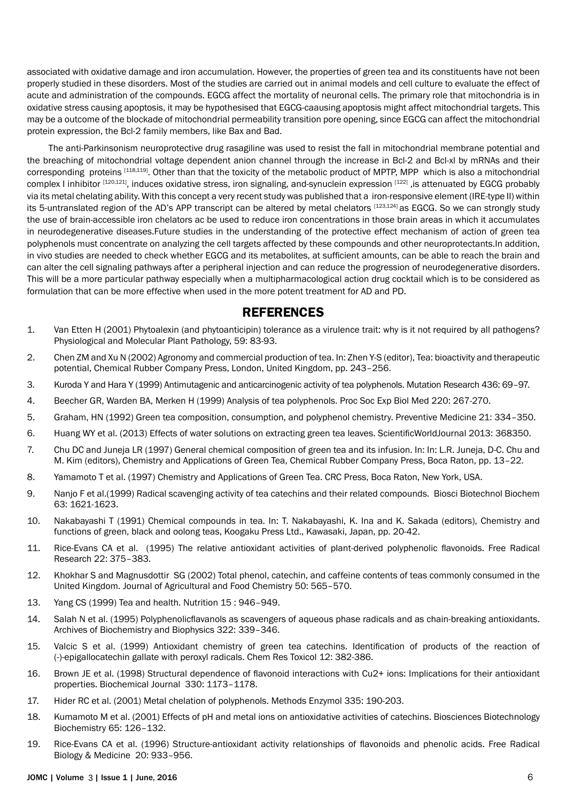associated with oxidative damage and iron accumulation. However, the properties of green tea and its constituents have not been properly studied in these disorders. Most of the studies are carried out in animal models and cell culture to evaluate the effect of acute and administration of the compounds. EGCG affect the mortality of neuronal cells. The primary role that mitochondria is in oxidative stress causing apoptosis, it may be hypothesised that EGCG-caausing apoptosis might affect mitochondrial targets. This may be a outcome of the blockade of mitochondrial permeability transition pore opening, since EGCG can affect the mitochondrial protein expression, the Bcl-2 family members, like Bax and Bad.

The anti-Parkinsonism neuroprotective drug rasagiline was used to resist the fall in mitochondrial membrane potential and the breaching of mitochondrial voltage dependent anion channel through the increase in Bcl-2 and Bcl-xl by mRNAs and their corresponding proteins [118,119]. Other than that the toxicity of the metabolic product of MPTP, MPP which is also a mitochondrial complex I inhibitor [120,121], induces oxidative stress, iron signaling, and-synuclein expression [122] , is attenuated by EGCG probably via its metal chelating ability. With this concept a very recent study was published that a iron-responsive element (IRE-type II) within its 5-untranslated region of the AD's APP transcript can be altered by metal chelators [123,124] as EGCG. So we can strongly study the use of brain-accessible iron chelators ac be used to reduce iron concentrations in those brain areas in which it accumulates in neurodegenerative diseases.Future studies in the understanding of the protective effect mechanism of action of green tea polyphenols must concentrate on analyzing the cell targets affected by these compounds and other neuroprotectants.In addition, in vivo studies are needed to check whether EGCG and its metabolites, at sufficient amounts, can be able to reach the brain and can alter the cell signaling pathways after a peripheral injection and can reduce the progression of neurodegenerative disorders. This will be a more particular pathway especially when a multipharmacological action drug cocktail which is to be considered as formulation that can be more effective when used in the more potent treatment for AD and PD.

## **REFERENCES**

- 1. [Van Etten H \(2001\) Phytoalexin \(and phytoanticipin\) tolerance as a virulence trait: why is it not required by all pathogens?](http://www.sciencedirect.com/science/article/pii/S0885576501903509)  [Physiological and Molecular Plant Pathology, 59: 83-93.](http://www.sciencedirect.com/science/article/pii/S0885576501903509)
- 2. Chen ZM and Xu N (2002) Agronomy and commercial production of tea. In: Zhen Y-S (editor), Tea: bioactivity and therapeutic potential, Chemical Rubber Company Press, London, United Kingdom, pp. 243–256.
- 3. [Kuroda Y and Hara Y \(1999\) Antimutagenic and anticarcinogenic activity of tea polyphenols. Mutation Research 436: 69–97.](http://www.sciencedirect.com/science/article/pii/S1383574298000192)
- 4. [Beecher GR, Warden BA, Merken H \(1999\) Analysis of tea polyphenols. Proc Soc Exp Biol Med 220: 267-270.](http://www.ncbi.nlm.nih.gov/pubmed/10202401)
- 5. [Graham, HN \(1992\) Green tea composition, consumption, and polyphenol chemistry. Preventive Medicine 21: 334–350.](http://www.sciencedirect.com/science/article/pii/009174359290041F)
- 6. [Huang WY et al. \(2013\) Effects of water solutions on extracting green tea leaves. ScientificWorldJournal 2013: 368350.](http://www.ncbi.nlm.nih.gov/pubmed/23997676)
- 7. Chu DC and Juneja LR (1997) General chemical composition of green tea and its infusion. In: In: L.R. Juneja, D-C. Chu and M. Kim (editors), Chemistry and Applications of Green Tea, Chemical Rubber Company Press, Boca Raton, pp. 13–22.
- 8. Yamamoto T et al. (1997) Chemistry and Applications of Green Tea. CRC Press, Boca Raton, New York, USA.
- 9. [Nanjo F et al.\(1999\) Radical scavenging activity of tea catechins and their related compounds. Biosci Biotechnol Biochem](http://www.ncbi.nlm.nih.gov/pubmed/10610125)  [63: 1621-1623.](http://www.ncbi.nlm.nih.gov/pubmed/10610125)
- 10. Nakabayashi T (1991) Chemical compounds in tea. In: T. Nakabayashi, K. Ina and K. Sakada (editors), Chemistry and functions of green, black and oolong teas, Koogaku Press Ltd., Kawasaki, Japan, pp. 20-42.
- 11. [Rice-Evans CA et al. \(1995\) The relative antioxidant activities of plant-derived polyphenolic flavonoids. Free Radical](http://www.ncbi.nlm.nih.gov/pubmed/7633567)  [Research 22: 375–383.](http://www.ncbi.nlm.nih.gov/pubmed/7633567)
- 12. [Khokhar S and Magnusdottir SG \(2002\) Total phenol, catechin, and caffeine contents of teas commonly consumed in the](http://www.ncbi.nlm.nih.gov/pubmed/11804530) [United Kingdom. Journal of Agricultural and Food Chemistry 50: 565–570.](http://www.ncbi.nlm.nih.gov/pubmed/11804530)
- 13. Yang CS (1999) Tea and health. Nutrition 15 : 946–949.
- 14. [Salah N et al. \(1995\) Polyphenolicflavanols as scavengers of aqueous phase radicals and as chain-breaking antioxidants.](http://www.sciencedirect.com/science/article/pii/S0003986185714737)  [Archives of Biochemistry and Biophysics 322: 339–346.](http://www.sciencedirect.com/science/article/pii/S0003986185714737)
- 15. [Valcic S et al. \(1999\) Antioxidant chemistry of green tea catechins. Identification of products of the reaction of](http://www.ncbi.nlm.nih.gov/pubmed/10207128)  [\(-\)-epigallocatechin gallate with peroxyl radicals. Chem Res Toxicol 12: 382-386.](http://www.ncbi.nlm.nih.gov/pubmed/10207128)
- 16. [Brown JE et al. \(1998\) Structural dependence of flavonoid interactions with Cu2+ ions: Implications for their antioxidant](http://www.ncbi.nlm.nih.gov/pmc/articles/PMC1219258/)  [properties. Biochemical Journal 330: 1173–1178.](http://www.ncbi.nlm.nih.gov/pmc/articles/PMC1219258/)
- 17. [Hider RC et al. \(2001\) Metal chelation of polyphenols. Methods Enzymol 335: 190-203.](http://www.ncbi.nlm.nih.gov/pubmed/11400368)
- 18. [Kumamoto M et al. \(2001\) Effects of pH and metal ions on antioxidative activities of catechins. Biosciences Biotechnology](http://www.ncbi.nlm.nih.gov/pubmed/11272815)  [Biochemistry 65: 126–132.](http://www.ncbi.nlm.nih.gov/pubmed/11272815)
- 19. [Rice-Evans CA et al. \(1996\) Structure-antioxidant activity relationships of flavonoids and phenolic acids. Free Radical](http://www.sciencedirect.com/science/article/pii/0891584995022279) [Biology & Medicine 20: 933–956.](http://www.sciencedirect.com/science/article/pii/0891584995022279)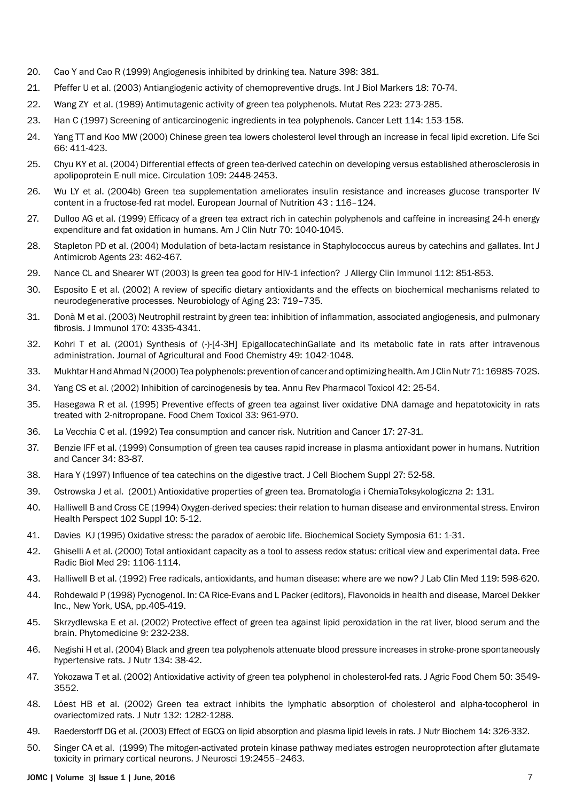- 20. [Cao Y and Cao R \(1999\) Angiogenesis inhibited by drinking tea. Nature 398: 381.](http://www.ncbi.nlm.nih.gov/pubmed/10201368)
- 21. [Pfeffer U et al. \(2003\) Antiangiogenic activity of chemopreventive drugs. Int J Biol Markers 18: 70-74.](http://www.ncbi.nlm.nih.gov/pubmed/12699068)
- 22. [Wang ZY et al. \(1989\) Antimutagenic activity of green tea polyphenols. Mutat Res 223: 273-285.](http://www.ncbi.nlm.nih.gov/pubmed/2500594)
- 23. [Han C \(1997\) Screening of anticarcinogenic ingredients in tea polyphenols. Cancer Lett 114: 153-158.](http://www.ncbi.nlm.nih.gov/pubmed/9103276)
- 24. [Yang TT and Koo MW \(2000\) Chinese green tea lowers cholesterol level through an increase in fecal lipid excretion. Life Sci](http://www.ncbi.nlm.nih.gov/pubmed/10670829)  [66: 411-423.](http://www.ncbi.nlm.nih.gov/pubmed/10670829)
- 25. [Chyu KY et al. \(2004\) Differential effects of green tea-derived catechin on developing versus established atherosclerosis in](http://www.ncbi.nlm.nih.gov/pubmed/15136500)  [apolipoprotein E-null mice. Circulation 109: 2448-2453.](http://www.ncbi.nlm.nih.gov/pubmed/15136500)
- 26. [Wu LY et al. \(2004b\) Green tea supplementation ameliorates insulin resistance and increases glucose transporter IV](http://link.springer.com/article/10.1007/s00394-004-0450-x)  [content in a fructose-fed rat model. European Journal of Nutrition 43 : 116–124.](http://link.springer.com/article/10.1007/s00394-004-0450-x)
- 27. [Dulloo AG et al. \(1999\) Efficacy of a green tea extract rich in catechin polyphenols and caffeine in increasing 24-h energy](http://www.ncbi.nlm.nih.gov/pubmed/10584049)  [expenditure and fat oxidation in humans. Am J Clin Nutr 70: 1040-1045.](http://www.ncbi.nlm.nih.gov/pubmed/10584049)
- 28. [Stapleton PD et al. \(2004\) Modulation of beta-lactam resistance in Staphylococcus aureus by catechins and gallates. Int J](http://www.ncbi.nlm.nih.gov/pubmed/15120724)  [Antimicrob Agents 23: 462-467.](http://www.ncbi.nlm.nih.gov/pubmed/15120724)
- 29. [Nance CL and Shearer WT \(2003\) Is green tea good for HIV-1 infection? J Allergy Clin Immunol 112: 851-853.](http://www.ncbi.nlm.nih.gov/pubmed/14610469)
- 30. [Esposito E et al. \(2002\) A review of specific dietary antioxidants and the effects on biochemical mechanisms related to](http://www.sciencedirect.com/science/article/pii/S0197458002000787)  [neurodegenerative processes. Neurobiology of Aging 23: 719–735.](http://www.sciencedirect.com/science/article/pii/S0197458002000787)
- 31. [Donà M et al. \(2003\) Neutrophil restraint by green tea: inhibition of inflammation, associated angiogenesis, and pulmonary](http://www.ncbi.nlm.nih.gov/pubmed/12682270)  [fibrosis. J Immunol 170: 4335-4341.](http://www.ncbi.nlm.nih.gov/pubmed/12682270)
- 32. [Kohri T et al. \(2001\) Synthesis of \(-\)-\[4-3H\] EpigallocatechinGallate and its metabolic fate in rats after intravenous](http://pubs.acs.org/doi/abs/10.1021/jf0011236)  [administration. Journal of Agricultural and Food Chemistry 49: 1042-1048.](http://pubs.acs.org/doi/abs/10.1021/jf0011236)
- 33. [Mukhtar H and Ahmad N \(2000\) Tea polyphenols: prevention of cancer and optimizing health. Am J Clin Nutr 71: 1698S-702S.](http://www.ncbi.nlm.nih.gov/pubmed/10837321)
- 34. [Yang CS et al. \(2002\) Inhibition of carcinogenesis by tea. Annu Rev Pharmacol Toxicol 42: 25-54.](http://www.ncbi.nlm.nih.gov/pubmed/11807163)
- 35. [Hasegawa R et al. \(1995\) Preventive effects of green tea against liver oxidative DNA damage and hepatotoxicity in rats](http://www.ncbi.nlm.nih.gov/pubmed/7590544)  [treated with 2-nitropropane. Food Chem Toxicol 33: 961-970.](http://www.ncbi.nlm.nih.gov/pubmed/7590544)
- 36. [La Vecchia C et al. \(1992\) Tea consumption and cancer risk. Nutrition and Cancer 17: 27-31.](http://www.ncbi.nlm.nih.gov/pubmed/1574442)
- 37. [Benzie IFF et al. \(1999\) Consumption of green tea causes rapid increase in plasma antioxidant power in humans. Nutrition](http://www.ncbi.nlm.nih.gov/pubmed/?term=Consumption+of+green+tea+causes+rapid+increase+in+plasma+antioxidant+power+in+humans.)  [and Cancer 34: 83-87.](http://www.ncbi.nlm.nih.gov/pubmed/?term=Consumption+of+green+tea+causes+rapid+increase+in+plasma+antioxidant+power+in+humans.)
- 38. [Hara Y \(1997\) Influence of tea catechins on the digestive tract. J Cell Biochem Suppl 27: 52-58.](http://www.ncbi.nlm.nih.gov/pubmed/9591193)
- 39. Ostrowska J et al. (2001) Antioxidative properties of green tea. Bromatologia i ChemiaToksykologiczna 2: 131.
- 40. [Halliwell B and Cross CE \(1994\) Oxygen-derived species: their relation to human disease and environmental stress. Environ](http://www.ncbi.nlm.nih.gov/pubmed/7705305)  [Health Perspect 102 Suppl 10: 5-12.](http://www.ncbi.nlm.nih.gov/pubmed/7705305)
- 41. [Davies KJ \(1995\) Oxidative stress: the paradox of aerobic life. Biochemical Society Symposia 61: 1-31.](http://www.ncbi.nlm.nih.gov/pubmed/8660387)
- 42. [Ghiselli A et al. \(2000\) Total antioxidant capacity as a tool to assess redox status: critical view and experimental data. Free](http://www.ncbi.nlm.nih.gov/pubmed/11121717)  [Radic Biol Med 29: 1106-1114.](http://www.ncbi.nlm.nih.gov/pubmed/11121717)
- 43. [Halliwell B et al. \(1992\) Free radicals, antioxidants, and human disease: where are we now? J Lab Clin Med 119: 598-620.](http://www.ncbi.nlm.nih.gov/pubmed/1593209)
- 44. Rohdewald P (1998) Pycnogenol. In: CA Rice-Evans and L Packer (editors), Flavonoids in health and disease, Marcel Dekker Inc., New York, USA, pp.405-419.
- 45. [Skrzydlewska E et al. \(2002\) Protective effect of green tea against lipid peroxidation in the rat liver, blood serum and the](http://www.ncbi.nlm.nih.gov/pubmed/12046864)  [brain. Phytomedicine 9: 232-238.](http://www.ncbi.nlm.nih.gov/pubmed/12046864)
- 46. [Negishi H et al. \(2004\) Black and green tea polyphenols attenuate blood pressure increases in stroke-prone spontaneously](http://www.ncbi.nlm.nih.gov/pubmed/14704290)  [hypertensive rats. J Nutr 134: 38-42.](http://www.ncbi.nlm.nih.gov/pubmed/14704290)
- 47. [Yokozawa T et al. \(2002\) Antioxidative activity of green tea polyphenol in cholesterol-fed rats. J Agric Food Chem 50: 3549-](http://www.ncbi.nlm.nih.gov/pubmed/12033827) [3552.](http://www.ncbi.nlm.nih.gov/pubmed/12033827)
- 48. [Löest HB et al. \(2002\) Green tea extract inhibits the lymphatic absorption of cholesterol and alpha-tocopherol in](http://www.ncbi.nlm.nih.gov/pubmed/12042447)  [ovariectomized rats. J Nutr 132: 1282-1288.](http://www.ncbi.nlm.nih.gov/pubmed/12042447)
- 49. [Raederstorff DG et al. \(2003\) Effect of EGCG on lipid absorption and plasma lipid levels in rats. J Nutr Biochem 14: 326-332.](http://www.ncbi.nlm.nih.gov/pubmed/12873714)
- 50. [Singer CA et al. \(1999\) The mitogen-activated protein kinase pathway mediates estrogen neuroprotection after glutamate](http://www.jneurosci.org/content/19/7/2455.short)  [toxicity in primary cortical neurons. J Neurosci 19:2455–2463.](http://www.jneurosci.org/content/19/7/2455.short)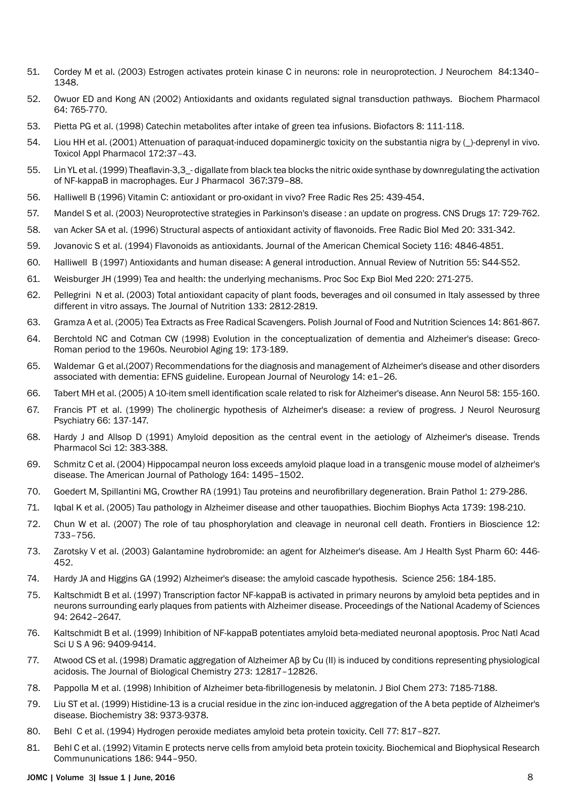- 51. [Cordey M et al. \(2003\) Estrogen activates protein kinase C in neurons: role in neuroprotection. J Neurochem 84:1340–](http://onlinelibrary.wiley.com/doi/10.1046/j.1471-4159.2003.01631.x/full) [1348.](http://onlinelibrary.wiley.com/doi/10.1046/j.1471-4159.2003.01631.x/full)
- 52. [Owuor ED and Kong AN \(2002\) Antioxidants and oxidants regulated signal transduction pathways. Biochem Pharmacol](http://www.ncbi.nlm.nih.gov/pubmed/12213568)  [64: 765-770.](http://www.ncbi.nlm.nih.gov/pubmed/12213568)
- 53. [Pietta PG et al. \(1998\) Catechin metabolites after intake of green tea infusions. Biofactors 8: 111-118.](http://www.ncbi.nlm.nih.gov/pubmed/9699018)
- 54. Liou HH et al. (2001) Attenuation of paraquat-induced dopaminergic toxicity on the substantia nigra by ()-deprenyl in vivo. [Toxicol Appl Pharmacol 172:37–43.](http://www.sciencedirect.com/science/article/pii/S0041008X01991306)
- 55. [Lin YL et al. \(1999\) Theaflavin-3,3\\_- digallate from black tea blocks the nitric oxide synthase by downregulating the activation](http://www.sciencedirect.com/science/article/pii/S0014299998009534)  [of NF-kappaB in macrophages. Eur J Pharmacol](http://www.sciencedirect.com/science/article/pii/S0014299998009534)367:379–88.
- 56. [Halliwell B \(1996\) Vitamin C: antioxidant or pro-oxidant in vivo? Free Radic Res 25: 439-454.](http://www.ncbi.nlm.nih.gov/pubmed/8902542)
- 57. [Mandel S et al. \(2003\) Neuroprotective strategies in Parkinson's disease : an update on progress. CNS Drugs 17: 729-762.](http://www.ncbi.nlm.nih.gov/pubmed/12873156)
- 58. [van Acker SA et al. \(1996\) Structural aspects of antioxidant activity of flavonoids. Free Radic Biol Med 20: 331-342.](http://www.ncbi.nlm.nih.gov/pubmed/8720903)
- 59. [Jovanovic S et al. \(1994\) Flavonoids as antioxidants. Journal of the American Chemical Society 116: 4846-4851.](http://pubs.acs.org/doi/abs/10.1021/ja00090a032)
- 60. [Halliwell B \(1997\) Antioxidants and human disease: A general introduction. Annual Review of Nutrition 55: S44-S52](http://search.proquest.com/openview/7415872242fbbb530b81a27e4927abc5/1?pq-origsite=gscholar).
- 61. [Weisburger JH \(1999\) Tea and health: the underlying mechanisms. Proc Soc Exp Biol Med 220: 271-275.](http://www.ncbi.nlm.nih.gov/pubmed/10202402)
- 62. [Pellegrini N et al. \(2003\) Total antioxidant capacity of plant foods, beverages and oil consumed in Italy assessed by three](http://jn.nutrition.org/content/133/9/2812.short)  [different in vitro assays. The Journal of Nutrition 133: 2812-2819.](http://jn.nutrition.org/content/133/9/2812.short)
- 63. [Gramza A et al. \(2005\) Tea Extracts as Free Radical Scavengers. Polish Journal of Food and Nutrition Sciences 14: 861-867](http://www.pjoes.com/pdf/14.6/861-867.pdf).
- 64. [Berchtold NC and Cotman CW \(1998\) Evolution in the conceptualization of dementia and Alzheimer's disease: Greco-](http://www.ncbi.nlm.nih.gov/pubmed/9661992)[Roman period to the 1960s. Neurobiol Aging 19: 173-189.](http://www.ncbi.nlm.nih.gov/pubmed/9661992)
- 65. [Waldemar G et al.\(2007\) Recommendations for the diagnosis and management of Alzheimer's disease and other disorders](http://onlinelibrary.wiley.com/doi/10.1111/j.1468-1331.2006.01605.x/full)  [associated with dementia: EFNS guideline. European Journal of Neurology 14: e1–26.](http://onlinelibrary.wiley.com/doi/10.1111/j.1468-1331.2006.01605.x/full)
- 66. [Tabert MH et al. \(2005\) A 10-item smell identification scale related to risk for Alzheimer's disease. Ann Neurol 58: 155-160.](http://www.ncbi.nlm.nih.gov/pubmed/15984022)
- 67. [Francis PT et al. \(1999\) The cholinergic hypothesis of Alzheimer's disease: a review of progress. J Neurol Neurosurg](http://www.ncbi.nlm.nih.gov/pubmed/10071091)  [Psychiatry 66: 137-147.](http://www.ncbi.nlm.nih.gov/pubmed/10071091)
- 68. [Hardy J and Allsop D \(1991\) Amyloid deposition as the central event in the aetiology of Alzheimer's disease. Trends](http://www.ncbi.nlm.nih.gov/pubmed/1763432)  [Pharmacol Sci 12: 383-388.](http://www.ncbi.nlm.nih.gov/pubmed/1763432)
- 69. [Schmitz C et al. \(2004\) Hippocampal neuron loss exceeds amyloid plaque load in a transgenic mouse model of alzheimer's](http://www.sciencedirect.com/science/article/pii/S000294401063235X)  [disease. The American Journal of Pathology 164: 1495–1502.](http://www.sciencedirect.com/science/article/pii/S000294401063235X)
- 70. [Goedert M, Spillantini MG, Crowther RA \(1991\) Tau proteins and neurofibrillary degeneration. Brain Pathol 1: 279-286.](http://www.ncbi.nlm.nih.gov/pubmed/1669718)
- 71. [Iqbal K et al. \(2005\) Tau pathology in Alzheimer disease and other tauopathies. Biochim Biophys Acta 1739: 198-210.](http://www.ncbi.nlm.nih.gov/pubmed/15615638)
- 72. [Chun W et al. \(2007\) The role of tau phosphorylation and cleavage in neuronal cell death. Frontiers in Bioscience 12:](http://europepmc.org/abstract/med/17127334)  [733–756.](http://europepmc.org/abstract/med/17127334)
- 73. [Zarotsky V et al. \(2003\) Galantamine hydrobromide: an agent for Alzheimer's disease. Am J Health Syst Pharm 60: 446-](http://www.ncbi.nlm.nih.gov/pubmed/12635450) [452.](http://www.ncbi.nlm.nih.gov/pubmed/12635450)
- 74. [Hardy JA and Higgins GA \(1992\) Alzheimer's disease: the amyloid cascade hypothesis. Science 256: 184-185.](http://www.ncbi.nlm.nih.gov/pubmed/1566067)
- 75. [Kaltschmidt B et al. \(1997\) Transcription factor NF-kappaB is activated in primary neurons by amyloid beta peptides and in](http://www.sciencedirect.com/science/article/pii/S0197018601000407)  [neurons surrounding early plaques from patients with Alzheimer disease. Proceedings of the National Academy of Sciences](http://www.sciencedirect.com/science/article/pii/S0197018601000407)  [94: 2642–2647.](http://www.sciencedirect.com/science/article/pii/S0197018601000407)
- 76. [Kaltschmidt B et al. \(1999\) Inhibition of NF-kappaB potentiates amyloid beta-mediated neuronal apoptosis. Proc Natl Acad](http://www.ncbi.nlm.nih.gov/pubmed/10430956)  [Sci U S A 96: 9409-9414.](http://www.ncbi.nlm.nih.gov/pubmed/10430956)
- 77. [Atwood CS et al. \(1998\) Dramatic aggregation of Alzheimer Aβ by Cu \(II\) is induced by conditions representing physiological](http://www.jbc.org/content/273/21/12817.short)  [acidosis. The Journal of Biological Chemistry 273: 12817–12826.](http://www.jbc.org/content/273/21/12817.short)
- 78. [Pappolla M et al. \(1998\) Inhibition of Alzheimer beta-fibrillogenesis by melatonin. J Biol Chem 273: 7185-7188.](http://www.ncbi.nlm.nih.gov/pubmed/9516407)
- 79. [Liu ST et al. \(1999\) Histidine-13 is a crucial residue in the zinc ion-induced aggregation of the A beta peptide of Alzheimer's](http://www.ncbi.nlm.nih.gov/pubmed/10413512)  [disease. Biochemistry 38: 9373-9378.](http://www.ncbi.nlm.nih.gov/pubmed/10413512)
- 80. [Behl C et al. \(1994\) Hydrogen peroxide mediates amyloid beta protein toxicity. Cell 77: 817–827.](http://www.sciencedirect.com/science/article/pii/0092867494901317)
- 81. [Behl C et al. \(1992\) Vitamin E protects nerve cells from amyloid beta protein toxicity. Biochemical and Biophysical Research](http://www.sciencedirect.com/science/article/pii/0006291X9290837B)  [Commununications 186: 944–950.](http://www.sciencedirect.com/science/article/pii/0006291X9290837B)

#### JOMC | Volume 3 | Issue 1 | June, 2016 8 3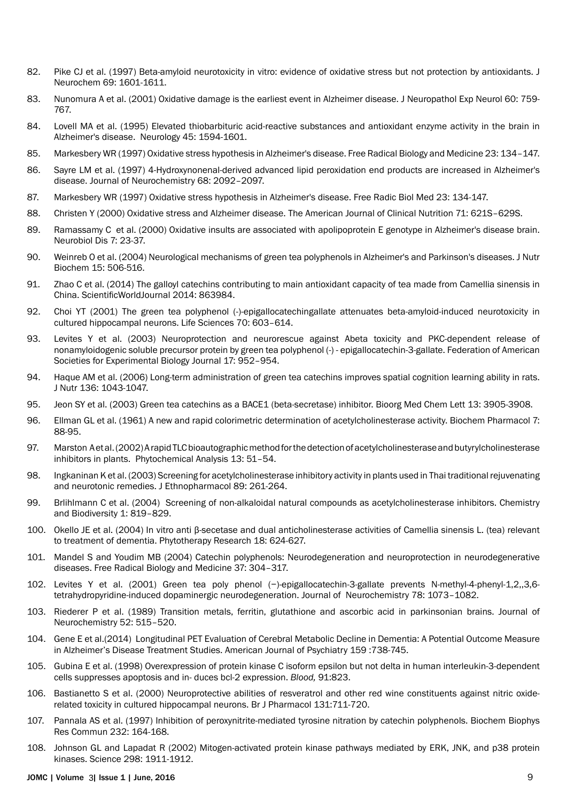- 82. [Pike CJ et al. \(1997\) Beta-amyloid neurotoxicity in vitro: evidence of oxidative stress but not protection by antioxidants. J](http://www.ncbi.nlm.nih.gov/pubmed/9326289)  [Neurochem 69: 1601-1611.](http://www.ncbi.nlm.nih.gov/pubmed/9326289)
- 83. [Nunomura A et al. \(2001\) Oxidative damage is the earliest event in Alzheimer disease. J Neuropathol Exp Neurol 60: 759-](http://www.ncbi.nlm.nih.gov/pubmed/11487050) [767.](http://www.ncbi.nlm.nih.gov/pubmed/11487050)
- 84. [Lovell MA et al. \(1995\) Elevated thiobarbituric acid-reactive substances and antioxidant enzyme activity in the brain in](http://www.ncbi.nlm.nih.gov/pubmed/7644059)  [Alzheimer's disease. Neurology 45: 1594-1601.](http://www.ncbi.nlm.nih.gov/pubmed/7644059)
- 85. [Markesbery WR \(1997\) Oxidative stress hypothesis in Alzheimer's disease. Free Radical Biology and Medicine 23: 134–147.](http://www.sciencedirect.com/science/article/pii/S0891584996006296)
- 86. [Sayre LM et al. \(1997\) 4-Hydroxynonenal-derived advanced lipid peroxidation end products are increased in Alzheimer's](http://onlinelibrary.wiley.com/doi/10.1046/j.1471-4159.1997.68052092.x/pdf)  [disease. Journal of Neurochemistry 68: 2092–2097.](http://onlinelibrary.wiley.com/doi/10.1046/j.1471-4159.1997.68052092.x/pdf)
- 87. [Markesbery WR \(1997\) Oxidative stress hypothesis in Alzheimer's disease. Free Radic Biol Med 23: 134-147.](http://www.ncbi.nlm.nih.gov/pubmed/9165306)
- 88. [Christen Y \(2000\) Oxidative stress and Alzheimer disease. The American Journal of Clinical Nutrition 71: 621S–629S.](http://ajcn.nutrition.org/content/71/2/621s.short)
- 89. [Ramassamy C et al. \(2000\) Oxidative insults are associated with apolipoprotein E genotype in Alzheimer's disease brain.](http://www.ncbi.nlm.nih.gov/pubmed/10671320)  [Neurobiol Dis 7: 23-37.](http://www.ncbi.nlm.nih.gov/pubmed/10671320)
- 90. [Weinreb O et al. \(2004\) Neurological mechanisms of green tea polyphenols in Alzheimer's and Parkinson's diseases. J Nutr](http://www.ncbi.nlm.nih.gov/pubmed/15350981)  [Biochem 15: 506-516.](http://www.ncbi.nlm.nih.gov/pubmed/15350981)
- 91. [Zhao C et al. \(2014\) The galloyl catechins contributing to main antioxidant capacity of tea made from Camellia sinensis in](http://www.ncbi.nlm.nih.gov/pubmed/25243234)  [China. ScientificWorldJournal 2014: 863984.](http://www.ncbi.nlm.nih.gov/pubmed/25243234)
- 92. [Choi YT \(2001\) The green tea polyphenol \(-\)-epigallocatechingallate attenuates beta-amyloid-induced neurotoxicity in](http://www.sciencedirect.com/science/article/pii/S0024320501014382)  [cultured hippocampal neurons. Life Sciences 70: 603–614.](http://www.sciencedirect.com/science/article/pii/S0024320501014382)
- 93. [Levites Y et al. \(2003\) Neuroprotection and neurorescue against Abeta toxicity and PKC-dependent release of](http://www.fasebj.org/content/17/8/952.short)  [nonamyloidogenic soluble precursor protein by green tea polyphenol \(-\) - epigallocatechin-3-gallate. Federation of American](http://www.fasebj.org/content/17/8/952.short)  [Societies for Experimental Biology Journal 17: 952–954.](http://www.fasebj.org/content/17/8/952.short)
- 94. [Haque AM et al. \(2006\) Long-term administration of green tea catechins improves spatial cognition learning ability in rats.](http://www.ncbi.nlm.nih.gov/pubmed/16549472)  [J Nutr 136: 1043-1047.](http://www.ncbi.nlm.nih.gov/pubmed/16549472)
- 95. [Jeon SY et al. \(2003\) Green tea catechins as a BACE1 \(beta-secretase\) inhibitor. Bioorg Med Chem Lett 13: 3905-3908.](http://www.ncbi.nlm.nih.gov/pubmed/14592472)
- 96. [Ellman GL et al. \(1961\) A new and rapid colorimetric determination of acetylcholinesterase activity. Biochem Pharmacol 7:](http://www.ncbi.nlm.nih.gov/pubmed/13726518)  [88-95.](http://www.ncbi.nlm.nih.gov/pubmed/13726518)
- 97. [Marston A et al. \(2002\) A rapid TLC bioautographic method for the detection of acetylcholinesterase and butyrylcholinesterase](http://onlinelibrary.wiley.com/doi/10.1002/pca.623/abstract)  [inhibitors in plants. Phytochemical Analysis 13: 51–54.](http://onlinelibrary.wiley.com/doi/10.1002/pca.623/abstract)
- 98. [Ingkaninan K et al. \(2003\) Screening for acetylcholinesterase inhibitory activity in plants used in Thai traditional rejuvenating](http://www.ncbi.nlm.nih.gov/pubmed/14611889)  [and neurotonic remedies. J Ethnopharmacol 89: 261-264.](http://www.ncbi.nlm.nih.gov/pubmed/14611889)
- 99. [Brlihlmann C et al. \(2004\) Screening of non-alkaloidal natural compounds as acetylcholinesterase inhibitors. Chemistry](http://onlinelibrary.wiley.com/doi/10.1002/cbdv.200490064/abstract)  [and Biodiversity 1: 819–829.](http://onlinelibrary.wiley.com/doi/10.1002/cbdv.200490064/abstract)
- 100. [Okello JE et al. \(2004\) In vitro anti β-secetase and dual anticholinesterase activities of Camellia sinensis L. \(tea\) relevant](http://www2.hcmuaf.edu.vn/data/lhquang/file/Tea/In vitro anti-beta-secretase and dual anti-cholinesterase activities of Camellia sinensis L_  relevant to treatment of dementia.pdf)  [to treatment of dementia. Phytotherapy Research 18: 624-627.](http://www2.hcmuaf.edu.vn/data/lhquang/file/Tea/In vitro anti-beta-secretase and dual anti-cholinesterase activities of Camellia sinensis L_  relevant to treatment of dementia.pdf)
- 101. [Mandel S and Youdim MB \(2004\) Catechin polyphenols: Neurodegeneration and neuroprotection in neurodegenerative](http://www.sciencedirect.com/science/article/pii/S0891584904003168)  [diseases. Free Radical Biology and Medicine 37: 304–317.](http://www.sciencedirect.com/science/article/pii/S0891584904003168)
- 102. [Levites Y et al. \(2001\) Green tea poly phenol \(−\)-epigallocatechin-3-gallate prevents N-methyl-4-phenyl-1,2,,3,6](http://onlinelibrary.wiley.com/doi/10.1046/j.1471-4159.2001.00490.x/full) [tetrahydropyridine-induced dopaminergic neurodegeneration. Journal of Neurochemistry 78: 1073–1082.](http://onlinelibrary.wiley.com/doi/10.1046/j.1471-4159.2001.00490.x/full)
- 103. [Riederer P et al. \(1989\) Transition metals, ferritin, glutathione and ascorbic acid in parkinsonian brains. Journal of](http://onlinelibrary.wiley.com/doi/10.1111/j.1471-4159.1989.tb09150.x/pdf)  [Neurochemistry 52: 515–520.](http://onlinelibrary.wiley.com/doi/10.1111/j.1471-4159.1989.tb09150.x/pdf)
- 104. [Gene E et al.\(2014\) Longitudinal PET Evaluation of Cerebral Metabolic Decline in Dementia: A Potential Outcome Measure](http://ajp.psychiatryonline.org/doi/10.1176/appi.ajp.159.5.738)  [in Alzheimer's Disease Treatment Studies. American Journal of Psychiatry 159 :738-745.](http://ajp.psychiatryonline.org/doi/10.1176/appi.ajp.159.5.738)
- 105. [Gubina E et al. \(1998\) Overexpression of protein kinase C isoform epsilon but not delta in human interleukin-3-dependent](http://www.bloodjournal.org/content/91/3/823.short)  [cells suppresses apoptosis and in- duces bcl-2 expression.](http://www.bloodjournal.org/content/91/3/823.short) *Blood,* 91:823.
- 106. [Bastianetto S et al. \(2000\) Neuroprotective abilities of resveratrol and other red wine constituents against nitric oxide](http://onlinelibrary.wiley.com/doi/10.1038/sj.bjp.0703626/full)[related toxicity in cultured hippocampal neurons. Br J Pharmacol 131:711-720](http://onlinelibrary.wiley.com/doi/10.1038/sj.bjp.0703626/full).
- 107. [Pannala AS et al. \(1997\) Inhibition of peroxynitrite-mediated tyrosine nitration by catechin polyphenols. Biochem Biophys](http://www.ncbi.nlm.nih.gov/pubmed/9125123)  [Res Commun 232: 164-168.](http://www.ncbi.nlm.nih.gov/pubmed/9125123)
- 108. [Johnson GL and Lapadat R \(2002\) Mitogen-activated protein kinase pathways mediated by ERK, JNK, and p38 protein](http://www.ncbi.nlm.nih.gov/pubmed/12471242)  [kinases. Science 298: 1911-1912.](http://www.ncbi.nlm.nih.gov/pubmed/12471242)

#### JOMC | Volume 3 | Issue 1 | June, 2016 9 3